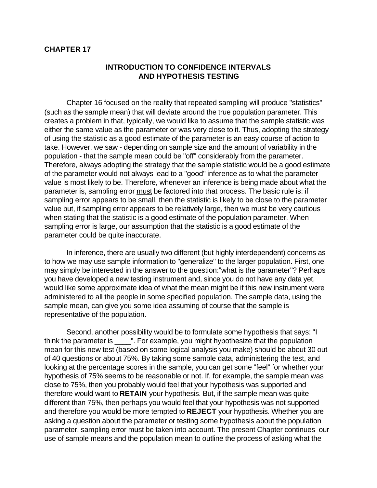### **CHAPTER 17**

## **INTRODUCTION TO CONFIDENCE INTERVALS AND HYPOTHESIS TESTING**

Chapter 16 focused on the reality that repeated sampling will produce "statistics" (such as the sample mean) that will deviate around the true population parameter. This creates a problem in that, typically, we would like to assume that the sample statistic was either the same value as the parameter or was very close to it. Thus, adopting the strategy of using the statistic as a good estimate of the parameter is an easy course of action to take. However, we saw - depending on sample size and the amount of variability in the population - that the sample mean could be "off" considerably from the parameter. Therefore, always adopting the strategy that the sample statistic would be a good estimate of the parameter would not always lead to a "good" inference as to what the parameter value is most likely to be. Therefore, whenever an inference is being made about what the parameter is, sampling error must be factored into that process. The basic rule is: if sampling error appears to be small, then the statistic is likely to be close to the parameter value but, if sampling error appears to be relatively large, then we must be very cautious when stating that the statistic is a good estimate of the population parameter. When sampling error is large, our assumption that the statistic is a good estimate of the parameter could be quite inaccurate.

In inference, there are usually two different (but highly interdependent) concerns as to how we may use sample information to "generalize" to the larger population. First, one may simply be interested in the answer to the question:"what is the parameter"? Perhaps you have developed a new testing instrument and, since you do not have any data yet, would like some approximate idea of what the mean might be if this new instrument were administered to all the people in some specified population. The sample data, using the sample mean, can give you some idea assuming of course that the sample is representative of the population.

Second, another possibility would be to formulate some hypothesis that says: "I think the parameter is \_\_\_\_". For example, you might hypothesize that the population mean for this new test (based on some logical analysis you make) should be about 30 out of 40 questions or about 75%. By taking some sample data, administering the test, and looking at the percentage scores in the sample, you can get some "feel" for whether your hypothesis of 75% seems to be reasonable or not. If, for example, the sample mean was close to 75%, then you probably would feel that your hypothesis was supported and therefore would want to **RETAIN** your hypothesis. But, if the sample mean was quite different than 75%, then perhaps you would feel that your hypothesis was not supported and therefore you would be more tempted to **REJECT** your hypothesis. Whether you are asking a question about the parameter or testing some hypothesis about the population parameter, sampling error must be taken into account. The present Chapter continues our use of sample means and the population mean to outline the process of asking what the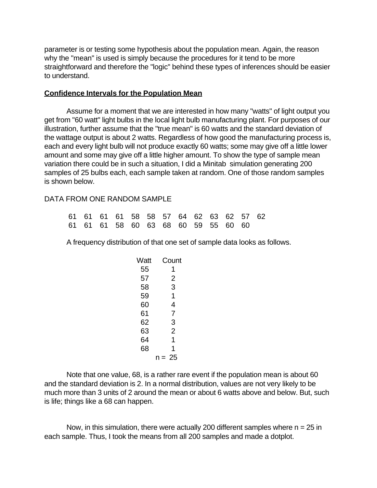parameter is or testing some hypothesis about the population mean. Again, the reason why the "mean" is used is simply because the procedures for it tend to be more straightforward and therefore the "logic" behind these types of inferences should be easier to understand.

### **Confidence Intervals for the Population Mean**

Assume for a moment that we are interested in how many "watts" of light output you get from "60 watt" light bulbs in the local light bulb manufacturing plant. For purposes of our illustration, further assume that the "true mean" is 60 watts and the standard deviation of the wattage output is about 2 watts. Regardless of how good the manufacturing process is, each and every light bulb will not produce exactly 60 watts; some may give off a little lower amount and some may give off a little higher amount. To show the type of sample mean variation there could be in such a situation, I did a Minitab simulation generating 200 samples of 25 bulbs each, each sample taken at random. One of those random samples is shown below.

#### DATA FROM ONE RANDOM SAMPLE

|  |  |  | 61 61 61 61 58 58 57 64 62 63 62 57 62 |  |  |  |
|--|--|--|----------------------------------------|--|--|--|
|  |  |  | 61 61 61 58 60 63 68 60 59 55 60 60    |  |  |  |

A frequency distribution of that one set of sample data looks as follows.

| Watt | Count          |
|------|----------------|
| 55   | 1              |
| 57   | $\overline{c}$ |
| 58   | 3              |
| 59   | 1              |
| 60   | 4              |
| 61   | 7              |
| 62   | 3              |
| 63   | $\overline{2}$ |
| 64   | 1              |
| 68   | 1              |
|      | $n = 25$       |
|      |                |

Note that one value, 68, is a rather rare event if the population mean is about 60 and the standard deviation is 2. In a normal distribution, values are not very likely to be much more than 3 units of 2 around the mean or about 6 watts above and below. But, such is life; things like a 68 can happen.

Now, in this simulation, there were actually 200 different samples where  $n = 25$  in each sample. Thus, I took the means from all 200 samples and made a dotplot.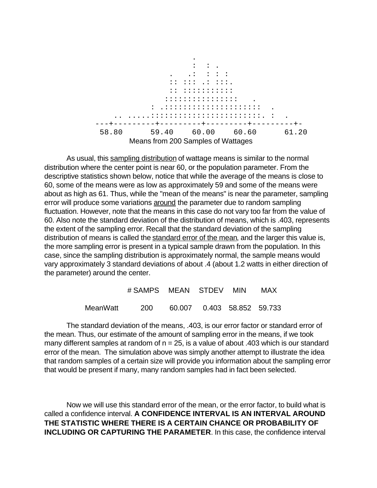

As usual, this sampling distribution of wattage means is similar to the normal distribution where the center point is near 60, or the population parameter. From the descriptive statistics shown below, notice that while the average of the means is close to 60, some of the means were as low as approximately 59 and some of the means were about as high as 61. Thus, while the "mean of the means" is near the parameter, sampling error will produce some variations around the parameter due to random sampling fluctuation. However, note that the means in this case do not vary too far from the value of 60. Also note the standard deviation of the distribution of means, which is .403, represents the extent of the sampling error. Recall that the standard deviation of the sampling distribution of means is called the standard error of the mean, and the larger this value is, the more sampling error is present in a typical sample drawn from the population. In this case, since the sampling distribution is approximately normal, the sample means would vary approximately 3 standard deviations of about .4 (about 1.2 watts in either direction of the parameter) around the center.

|          | # SAMPS MEAN STDEV MIN |                               |  | MAX |
|----------|------------------------|-------------------------------|--|-----|
| MeanWatt | - 200                  | 60.007  0.403  58.852  59.733 |  |     |

The standard deviation of the means, .403, is our error factor or standard error of the mean. Thus, our estimate of the amount of sampling error in the means, if we took many different samples at random of  $n = 25$ , is a value of about .403 which is our standard error of the mean. The simulation above was simply another attempt to illustrate the idea that random samples of a certain size will provide you information about the sampling error that would be present if many, many random samples had in fact been selected.

Now we will use this standard error of the mean, or the error factor, to build what is called a confidence interval. **A CONFIDENCE INTERVAL IS AN INTERVAL AROUND THE STATISTIC WHERE THERE IS A CERTAIN CHANCE OR PROBABILITY OF INCLUDING OR CAPTURING THE PARAMETER**. In this case, the confidence interval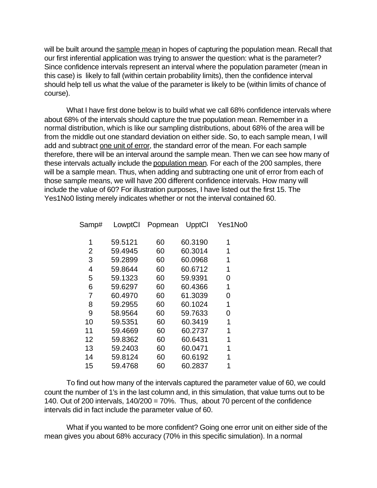will be built around the sample mean in hopes of capturing the population mean. Recall that our first inferential application was trying to answer the question: what is the parameter? Since confidence intervals represent an interval where the population parameter (mean in this case) is likely to fall (within certain probability limits), then the confidence interval should help tell us what the value of the parameter is likely to be (within limits of chance of course).

What I have first done below is to build what we call 68% confidence intervals where about 68% of the intervals should capture the true population mean. Remember in a normal distribution, which is like our sampling distributions, about 68% of the area will be from the middle out one standard deviation on either side. So, to each sample mean, I will add and subtract one unit of error, the standard error of the mean. For each sample therefore, there will be an interval around the sample mean. Then we can see how many of these intervals actually include the population mean. For each of the 200 samples, there will be a sample mean. Thus, when adding and subtracting one unit of error from each of those sample means, we will have 200 different confidence intervals. How many will include the value of 60? For illustration purposes, I have listed out the first 15. The Yes1No0 listing merely indicates whether or not the interval contained 60.

| Samp# | LowptCl | Popmean | UpptCl  | Yes1No0 |
|-------|---------|---------|---------|---------|
| 1     | 59.5121 | 60      | 60.3190 | 1       |
| 2     | 59.4945 | 60      | 60.3014 | 1       |
| 3     | 59.2899 | 60      | 60.0968 | 1       |
| 4     | 59.8644 | 60      | 60.6712 | 1       |
| 5     | 59.1323 | 60      | 59.9391 | 0       |
| 6     | 59.6297 | 60      | 60.4366 | 1       |
| 7     | 60.4970 | 60      | 61.3039 | 0       |
| 8     | 59.2955 | 60      | 60.1024 | 1       |
| 9     | 58.9564 | 60      | 59.7633 | 0       |
| 10    | 59.5351 | 60      | 60.3419 | 1       |
| 11    | 59.4669 | 60      | 60.2737 | 1       |
| 12    | 59.8362 | 60      | 60.6431 | 1       |
| 13    | 59.2403 | 60      | 60.0471 | 1       |
| 14    | 59.8124 | 60      | 60.6192 | 1       |
| 15    | 59.4768 | 60      | 60.2837 | 1       |

To find out how many of the intervals captured the parameter value of 60, we could count the number of 1's in the last column and, in this simulation, that value turns out to be 140. Out of 200 intervals, 140/200 = 70%. Thus, about 70 percent of the confidence intervals did in fact include the parameter value of 60.

What if you wanted to be more confident? Going one error unit on either side of the mean gives you about 68% accuracy (70% in this specific simulation). In a normal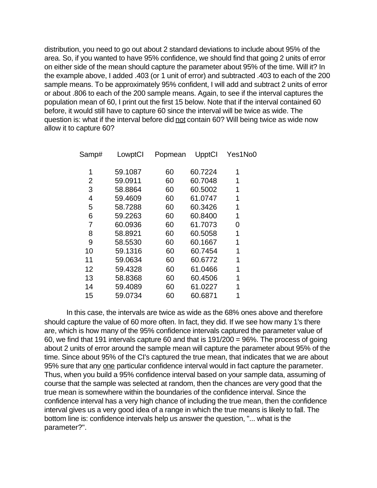distribution, you need to go out about 2 standard deviations to include about 95% of the area. So, if you wanted to have 95% confidence, we should find that going 2 units of error on either side of the mean should capture the parameter about 95% of the time. Will it? In the example above, I added .403 (or 1 unit of error) and subtracted .403 to each of the 200 sample means. To be approximately 95% confident, I will add and subtract 2 units of error or about .806 to each of the 200 sample means. Again, to see if the interval captures the population mean of 60, I print out the first 15 below. Note that if the interval contained 60 before, it would still have to capture 60 since the interval will be twice as wide. The question is: what if the interval before did not contain 60? Will being twice as wide now allow it to capture 60?

| Samp# | LowptCl | Popmean | UpptCl  | Yes1No0 |
|-------|---------|---------|---------|---------|
| 1     | 59.1087 | 60      | 60.7224 | 1       |
| 2     | 59.0911 | 60      | 60.7048 | 1       |
| 3     | 58.8864 | 60      | 60.5002 | 1       |
| 4     | 59.4609 | 60      | 61.0747 | 1       |
| 5     | 58.7288 | 60      | 60.3426 | 1       |
| 6     | 59.2263 | 60      | 60.8400 | 1       |
| 7     | 60.0936 | 60      | 61.7073 | 0       |
| 8     | 58.8921 | 60      | 60.5058 | 1       |
| 9     | 58.5530 | 60      | 60.1667 | 1       |
| 10    | 59.1316 | 60      | 60.7454 | 1       |
| 11    | 59.0634 | 60      | 60.6772 | 1       |
| 12    | 59.4328 | 60      | 61.0466 | 1       |
| 13    | 58.8368 | 60      | 60.4506 | 1       |
| 14    | 59.4089 | 60      | 61.0227 | 1       |
| 15    | 59.0734 | 60      | 60.6871 |         |
|       |         |         |         |         |

In this case, the intervals are twice as wide as the 68% ones above and therefore should capture the value of 60 more often. In fact, they did. If we see how many 1's there are, which is how many of the 95% confidence intervals captured the parameter value of 60, we find that 191 intervals capture 60 and that is 191/200 = 96%. The process of going about 2 units of error around the sample mean will capture the parameter about 95% of the time. Since about 95% of the CI's captured the true mean, that indicates that we are about 95% sure that any one particular confidence interval would in fact capture the parameter. Thus, when you build a 95% confidence interval based on your sample data, assuming of course that the sample was selected at random, then the chances are very good that the true mean is somewhere within the boundaries of the confidence interval. Since the confidence interval has a very high chance of including the true mean, then the confidence interval gives us a very good idea of a range in which the true means is likely to fall. The bottom line is: confidence intervals help us answer the question, "... what is the parameter?".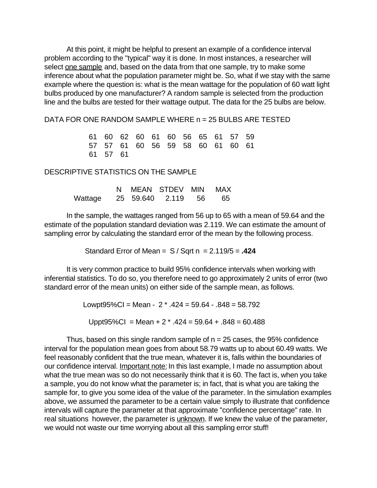At this point, it might be helpful to present an example of a confidence interval problem according to the "typical" way it is done. In most instances, a researcher will select one sample and, based on the data from that one sample, try to make some inference about what the population parameter might be. So, what if we stay with the same example where the question is: what is the mean wattage for the population of 60 watt light bulbs produced by one manufacturer? A random sample is selected from the production line and the bulbs are tested for their wattage output. The data for the 25 bulbs are below.

DATA FOR ONE RANDOM SAMPLE WHERE n = 25 BULBS ARE TESTED

 61 60 62 60 61 60 56 65 61 57 59 57 57 61 60 56 59 58 60 61 60 61 61 57 61

### DESCRIPTIVE STATISTICS ON THE SAMPLE

|                               |  | N MEAN STDEV MIN MAX |  |
|-------------------------------|--|----------------------|--|
| Wattage 25 59.640 2.119 56 65 |  |                      |  |

 In the sample, the wattages ranged from 56 up to 65 with a mean of 59.64 and the estimate of the population standard deviation was 2.119. We can estimate the amount of sampling error by calculating the standard error of the mean by the following process.

Standard Error of Mean =  $S / Sqrt n = 2.119/5 = .424$ 

It is very common practice to build 95% confidence intervals when working with inferential statistics. To do so, you therefore need to go approximately 2 units of error (two standard error of the mean units) on either side of the sample mean, as follows.

> Lowpt95%CI = Mean -  $2 * .424 = 59.64 - .848 = 58.792$ Uppt95%CI = Mean + 2  $*$  .424 = 59.64 + .848 = 60.488

Thus, based on this single random sample of  $n = 25$  cases, the 95% confidence interval for the population mean goes from about 58.79 watts up to about 60.49 watts. We feel reasonably confident that the true mean, whatever it is, falls within the boundaries of our confidence interval. Important note: In this last example, I made no assumption about what the true mean was so do not necessarily think that it is 60. The fact is, when you take a sample, you do not know what the parameter is; in fact, that is what you are taking the sample for, to give you some idea of the value of the parameter. In the simulation examples above, we assumed the parameter to be a certain value simply to illustrate that confidence intervals will capture the parameter at that approximate "confidence percentage" rate. In real situations however, the parameter is unknown. If we knew the value of the parameter, we would not waste our time worrying about all this sampling error stuff!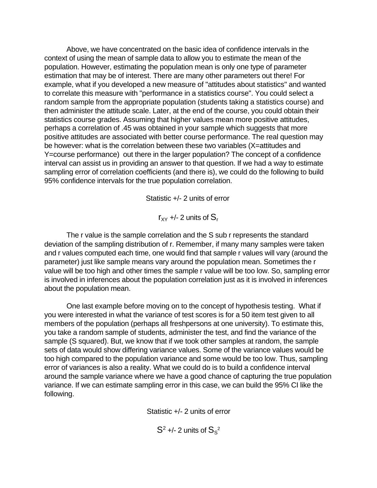Above, we have concentrated on the basic idea of confidence intervals in the context of using the mean of sample data to allow you to estimate the mean of the population. However, estimating the population mean is only one type of parameter estimation that may be of interest. There are many other parameters out there! For example, what if you developed a new measure of "attitudes about statistics" and wanted to correlate this measure with "performance in a statistics course". You could select a random sample from the appropriate population (students taking a statistics course) and then administer the attitude scale. Later, at the end of the course, you could obtain their statistics course grades. Assuming that higher values mean more positive attitudes, perhaps a correlation of .45 was obtained in your sample which suggests that more positive attitudes are associated with better course performance. The real question may be however: what is the correlation between these two variables (X=attitudes and Y=course performance) out there in the larger population? The concept of a confidence interval can assist us in providing an answer to that question. If we had a way to estimate sampling error of correlation coefficients (and there is), we could do the following to build 95% confidence intervals for the true population correlation.

Statistic +/- 2 units of error

 $r_{xy}$  +/- 2 units of  $S_r$ 

The r value is the sample correlation and the S sub r represents the standard deviation of the sampling distribution of r. Remember, if many many samples were taken and r values computed each time, one would find that sample r values will vary (around the parameter) just like sample means vary around the population mean. Sometimes the r value will be too high and other times the sample r value will be too low. So, sampling error is involved in inferences about the population correlation just as it is involved in inferences about the population mean.

One last example before moving on to the concept of hypothesis testing. What if you were interested in what the variance of test scores is for a 50 item test given to all members of the population (perhaps all freshpersons at one university). To estimate this, you take a random sample of students, administer the test, and find the variance of the sample (S squared). But, we know that if we took other samples at random, the sample sets of data would show differing variance values. Some of the variance values would be too high compared to the population variance and some would be too low. Thus, sampling error of variances is also a reality. What we could do is to build a confidence interval around the sample variance where we have a good chance of capturing the true population variance. If we can estimate sampling error in this case, we can build the 95% CI like the following.

Statistic +/- 2 units of error

 $\mathsf{S}^2$  +/- 2 units of  $\mathsf{S}_{\mathsf{S}}^2$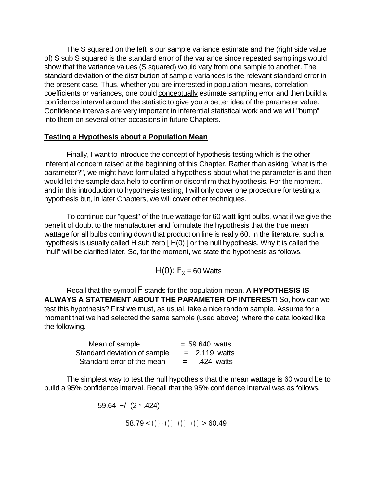The S squared on the left is our sample variance estimate and the (right side value of) S sub S squared is the standard error of the variance since repeated samplings would show that the variance values (S squared) would vary from one sample to another. The standard deviation of the distribution of sample variances is the relevant standard error in the present case. Thus, whether you are interested in population means, correlation coefficients or variances, one could conceptually estimate sampling error and then build a confidence interval around the statistic to give you a better idea of the parameter value. Confidence intervals are very important in inferential statistical work and we will "bump" into them on several other occasions in future Chapters.

## **Testing a Hypothesis about a Population Mean**

Finally, I want to introduce the concept of hypothesis testing which is the other inferential concern raised at the beginning of this Chapter. Rather than asking "what is the parameter?", we might have formulated a hypothesis about what the parameter is and then would let the sample data help to confirm or disconfirm that hypothesis. For the moment, and in this introduction to hypothesis testing, I will only cover one procedure for testing a hypothesis but, in later Chapters, we will cover other techniques.

To continue our "quest" of the true wattage for 60 watt light bulbs, what if we give the benefit of doubt to the manufacturer and formulate the hypothesis that the true mean wattage for all bulbs coming down that production line is really 60. In the literature, such a hypothesis is usually called H sub zero [H(0) ] or the null hypothesis. Why it is called the "null" will be clarified later. So, for the moment, we state the hypothesis as follows.

H(0):  $F_x = 60$  Watts

Recall that the symbol F stands for the population mean. **A HYPOTHESIS IS ALWAYS A STATEMENT ABOUT THE PARAMETER OF INTEREST**! So, how can we test this hypothesis? First we must, as usual, take a nice random sample. Assume for a moment that we had selected the same sample (used above) where the data looked like the following.

| Mean of sample               | $= 59.640$ watts  |
|------------------------------|-------------------|
| Standard deviation of sample | $=$ 2.119 watts   |
| Standard error of the mean   | .424 watts<br>$=$ |

The simplest way to test the null hypothesis that the mean wattage is 60 would be to build a 95% confidence interval. Recall that the 95% confidence interval was as follows.

59.64 +/- (2 \* .424)

 $(58.79 <))))))))))))$ ))))))) > 60.49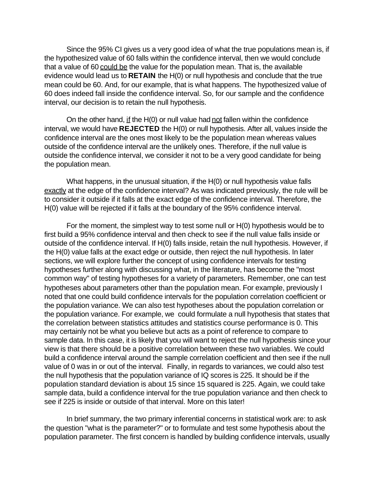Since the 95% CI gives us a very good idea of what the true populations mean is, if the hypothesized value of 60 falls within the confidence interval, then we would conclude that a value of 60 could be the value for the population mean. That is, the available evidence would lead us to **RETAIN** the H(0) or null hypothesis and conclude that the true mean could be 60. And, for our example, that is what happens. The hypothesized value of 60 does indeed fall inside the confidence interval. So, for our sample and the confidence interval, our decision is to retain the null hypothesis.

On the other hand, if the H(0) or null value had not fallen within the confidence interval, we would have **REJECTED** the H(0) or null hypothesis. After all, values inside the confidence interval are the ones most likely to be the population mean whereas values outside of the confidence interval are the unlikely ones. Therefore, if the null value is outside the confidence interval, we consider it not to be a very good candidate for being the population mean.

What happens, in the unusual situation, if the H(0) or null hypothesis value falls exactly at the edge of the confidence interval? As was indicated previously, the rule will be to consider it outside if it falls at the exact edge of the confidence interval. Therefore, the H(0) value will be rejected if it falls at the boundary of the 95% confidence interval.

For the moment, the simplest way to test some null or H(0) hypothesis would be to first build a 95% confidence interval and then check to see if the null value falls inside or outside of the confidence interval. If H(0) falls inside, retain the null hypothesis. However, if the H(0) value falls at the exact edge or outside, then reject the null hypothesis. In later sections, we will explore further the concept of using confidence intervals for testing hypotheses further along with discussing what, in the literature, has become the "most common way" of testing hypotheses for a variety of parameters. Remember, one can test hypotheses about parameters other than the population mean. For example, previously I noted that one could build confidence intervals for the population correlation coefficient or the population variance. We can also test hypotheses about the population correlation or the population variance. For example, we could formulate a null hypothesis that states that the correlation between statistics attitudes and statistics course performance is 0. This may certainly not be what you believe but acts as a point of reference to compare to sample data. In this case, it is likely that you will want to reject the null hypothesis since your view is that there should be a positive correlation between these two variables. We could build a confidence interval around the sample correlation coefficient and then see if the null value of 0 was in or out of the interval. Finally, in regards to variances, we could also test the null hypothesis that the population variance of IQ scores is 225. It should be if the population standard deviation is about 15 since 15 squared is 225. Again, we could take sample data, build a confidence interval for the true population variance and then check to see if 225 is inside or outside of that interval. More on this later!

In brief summary, the two primary inferential concerns in statistical work are: to ask the question "what is the parameter?" or to formulate and test some hypothesis about the population parameter. The first concern is handled by building confidence intervals, usually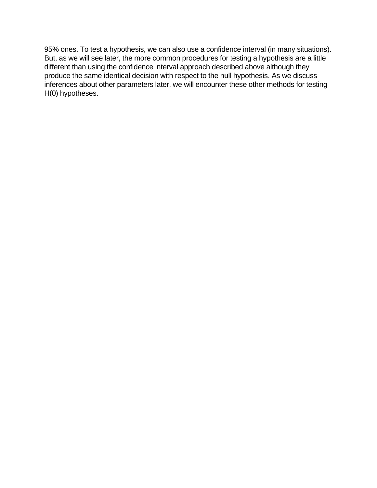95% ones. To test a hypothesis, we can also use a confidence interval (in many situations). But, as we will see later, the more common procedures for testing a hypothesis are a little different than using the confidence interval approach described above although they produce the same identical decision with respect to the null hypothesis. As we discuss inferences about other parameters later, we will encounter these other methods for testing H(0) hypotheses.